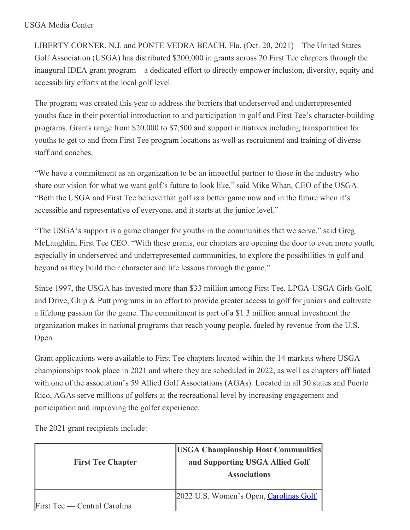## USGA Media Center

LIBERTY CORNER, N.J. and PONTE VEDRA BEACH, Fla. (Oct. 20, 2021) – The United States Golf Association (USGA) has distributed \$200,000 in grants across 20 First Tee chapters through the inaugural IDEA grant program – a dedicated effort to directly empower inclusion, diversity, equity and accessibility efforts at the local golf level.

The program was created this year to address the barriers that underserved and underrepresented youths face in their potential introduction to and participation in golf and First Tee's character-building programs. Grants range from \$20,000 to \$7,500 and support initiatives including transportation for youths to get to and from First Tee program locations as well as recruitment and training of diverse staff and coaches.

"We have a commitment as an organization to be an impactful partner to those in the industry who share our vision for what we want golf's future to look like," said Mike Whan, CEO of the USGA. "Both the USGA and First Tee believe that golf is a better game now and in the future when it's accessible and representative of everyone, and it starts at the junior level."

"The USGA's support is a game changer for youths in the communities that we serve," said Greg McLaughlin, First Tee CEO. "With these grants, our chapters are opening the door to even more youth, especially in underserved and underrepresented communities, to explore the possibilities in golf and beyond as they build their character and life lessons through the game."

Since 1997, the USGA has invested more than \$33 million among First Tee, LPGA-USGA Girls Golf, and Drive, Chip & Putt programs in an effort to provide greater access to golf for juniors and cultivate a lifelong passion for the game. The commitment is part of a \$1.3 million annual investment the organization makes in national programs that reach young people, fueled by revenue from the U.S. Open.

Grant applications were available to First Tee chapters located within the 14 markets where USGA championships took place in 2021 and where they are scheduled in 2022, as well as chapters affiliated with one of the association's 59 Allied Golf Associations (AGAs). Located in all 50 states and Puerto Rico, AGAs serve millions of golfers at the recreational level by increasing engagement and participation and improving the golfer experience.

The 2021 grant recipients include:

| <b>First Tee Chapter</b>     | <b>USGA Championship Host Communities</b><br>and Supporting USGA Allied Golf<br><b>Associations</b> |
|------------------------------|-----------------------------------------------------------------------------------------------------|
| First Tee — Central Carolina | 2022 U.S. Women's Open, Carolinas Golf                                                              |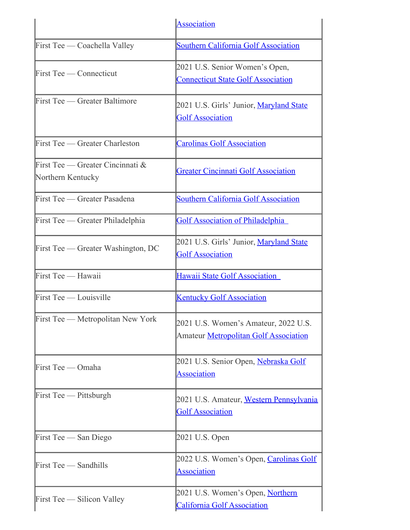|                                                          | Association                                                                   |
|----------------------------------------------------------|-------------------------------------------------------------------------------|
| First Tee — Coachella Valley                             | <b>Southern California Golf Association</b>                                   |
| First Tee — Connecticut                                  | 2021 U.S. Senior Women's Open,<br><b>Connecticut State Golf Association</b>   |
| First Tee — Greater Baltimore                            | 2021 U.S. Girls' Junior, Maryland State<br><b>Golf Association</b>            |
| First Tee — Greater Charleston                           | <b>Carolinas Golf Association</b>                                             |
| First Tee — Greater Cincinnati $\&$<br>Northern Kentucky | <b>Greater Cincinnati Golf Association</b>                                    |
| First Tee — Greater Pasadena                             | <b>Southern California Golf Association</b>                                   |
| First Tee — Greater Philadelphia                         | <b>Golf Association of Philadelphia</b>                                       |
| First Tee — Greater Washington, DC                       | 2021 U.S. Girls' Junior, Maryland State<br><b>Golf Association</b>            |
| First Tee - Hawaii                                       | <b>Hawaii State Golf Association</b>                                          |
| First Tee — Louisville                                   | <b>Kentucky Golf Association</b>                                              |
| First Tee — Metropolitan New York                        | 2021 U.S. Women's Amateur, 2022 U.S.<br>Amateur Metropolitan Golf Association |
| First Tee — Omaha                                        | 2021 U.S. Senior Open, Nebraska Golf<br><b>Association</b>                    |
| First Tee - Pittsburgh                                   | 2021 U.S. Amateur, Western Pennsylvania<br><b>Golf Association</b>            |
| First Tee — San Diego                                    | 2021 U.S. Open                                                                |
| First Tee — Sandhills                                    | 2022 U.S. Women's Open, Carolinas Golf<br><b>Association</b>                  |
| First Tee — Silicon Valley                               | 2021 U.S. Women's Open, Northern<br><b>California Golf Association</b>        |